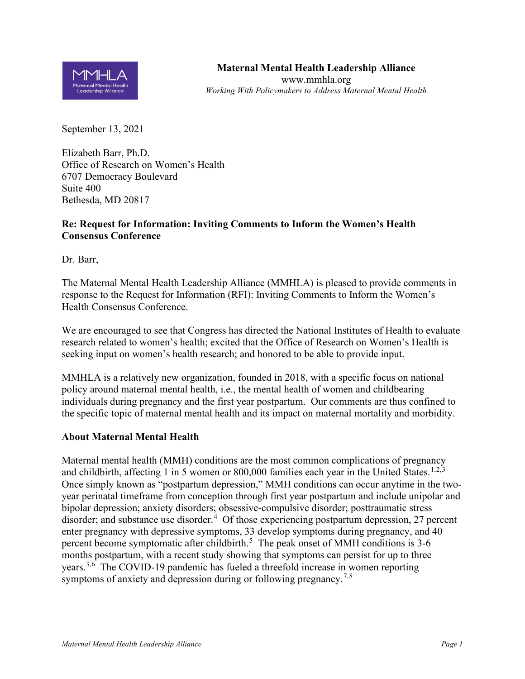

September 13, 2021

Elizabeth Barr, Ph.D. Office of Research on Women's Health 6707 Democracy Boulevard Suite 400 Bethesda, MD 20817

## **Re: Request for Information: Inviting Comments to Inform the Women's Health Consensus Conference**

Dr. Barr,

The Maternal Mental Health Leadership Alliance (MMHLA) is pleased to provide comments in response to the Request for Information (RFI): Inviting Comments to Inform the Women's Health Consensus Conference.

We are encouraged to see that Congress has directed the National Institutes of Health to evaluate research related to women's health; excited that the Office of Research on Women's Health is seeking input on women's health research; and honored to be able to provide input.

MMHLA is a relatively new organization, founded in 2018, with a specific focus on national policy around maternal mental health, i.e., the mental health of women and childbearing individuals during pregnancy and the first year postpartum. Our comments are thus confined to the specific topic of maternal mental health and its impact on maternal mortality and morbidity.

## **About Maternal Mental Health**

Maternal mental health (MMH) conditions are the most common complications of pregnancy and childbirth, affecting [1](#page-3-0) in 5 women or 800,000 families each year in the United States.<sup>1,[2](#page-3-1),[3](#page-3-2)</sup> Once simply known as "postpartum depression," MMH conditions can occur anytime in the twoyear perinatal timeframe from conception through first year postpartum and include unipolar and bipolar depression; anxiety disorders; obsessive-compulsive disorder; posttraumatic stress disorder; and substance use disorder.<sup>[4](#page-3-3)</sup> Of those experiencing postpartum depression, 27 percent enter pregnancy with depressive symptoms, 33 develop symptoms during pregnancy, and 40 percent become symptomatic after childbirth.<sup>[5](#page-3-4)</sup> The peak onset of MMH conditions is 3-6 months postpartum, with a recent study showing that symptoms can persist for up to three years.<sup>3,[6](#page-3-5)</sup> The COVID-19 pandemic has fueled a threefold increase in women reporting symptoms of anxiety and depression during or following pregnancy.<sup>[7,](#page-3-6)[8](#page-3-7)</sup>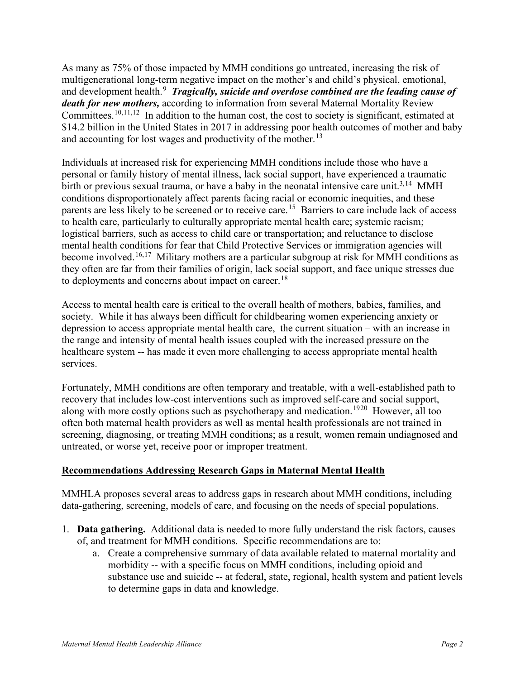As many as 75% of those impacted by MMH conditions go untreated, increasing the risk of multigenerational long-term negative impact on the mother's and child's physical, emotional, and development health.<sup>[9](#page-3-8)</sup> Tragically, suicide and overdose combined are the leading cause of *death for new mothers,* according to information from several Maternal Mortality Review Committees.<sup>[10,](#page-3-9)[11](#page-3-10),12</sup> In addition to the human cost, the cost to society is significant, estimated at \$14.2 billion in the United States in 2017 in addressing poor health outcomes of mother and baby and accounting for lost wages and productivity of the mother.<sup>[13](#page-3-12)</sup>

Individuals at increased risk for experiencing MMH conditions include those who have a personal or family history of mental illness, lack social support, have experienced a traumatic birth or previous sexual trauma, or have a baby in the neonatal intensive care unit.<sup>3,14</sup> MMH conditions disproportionately affect parents facing racial or economic inequities, and these parents are less likely to be screened or to receive care.<sup>15</sup> Barriers to care include lack of access to health care, particularly to culturally appropriate mental health care; systemic racism; logistical barriers, such as access to child care or transportation; and reluctance to disclose mental health conditions for fear that Child Protective Services or immigration agencies will become involved.<sup>[16,](#page-3-15)17</sup> Military mothers are a particular subgroup at risk for MMH conditions as they often are far from their families of origin, lack social support, and face unique stresses due to deployments and concerns about impact on career.<sup>[18](#page-3-17)</sup>

Access to mental health care is critical to the overall health of mothers, babies, families, and society. While it has always been difficult for childbearing women experiencing anxiety or depression to access appropriate mental health care, the current situation – with an increase in the range and intensity of mental health issues coupled with the increased pressure on the healthcare system -- has made it even more challenging to access appropriate mental health services.

Fortunately, MMH conditions are often temporary and treatable, with a well-established path to recovery that includes low-cost interventions such as improved self-care and social support, along with more costly options such as psychotherapy and medication.<sup>[19](#page-3-18)[20](#page-3-19)</sup> However, all too often both maternal health providers as well as mental health professionals are not trained in screening, diagnosing, or treating MMH conditions; as a result, women remain undiagnosed and untreated, or worse yet, receive poor or improper treatment.

## **Recommendations Addressing Research Gaps in Maternal Mental Health**

MMHLA proposes several areas to address gaps in research about MMH conditions, including data-gathering, screening, models of care, and focusing on the needs of special populations.

- 1. **Data gathering.** Additional data is needed to more fully understand the risk factors, causes of, and treatment for MMH conditions. Specific recommendations are to:
	- a. Create a comprehensive summary of data available related to maternal mortality and morbidity -- with a specific focus on MMH conditions, including opioid and substance use and suicide -- at federal, state, regional, health system and patient levels to determine gaps in data and knowledge.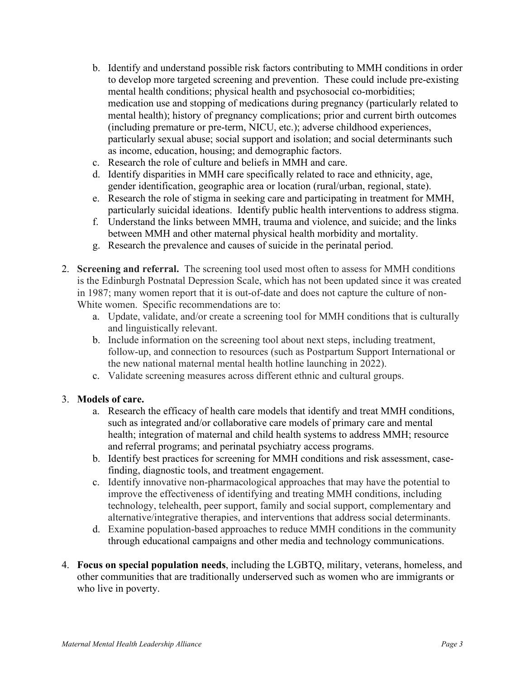- b. Identify and understand possible risk factors contributing to MMH conditions in order to develop more targeted screening and prevention. These could include pre-existing mental health conditions; physical health and psychosocial co-morbidities; medication use and stopping of medications during pregnancy (particularly related to mental health); history of pregnancy complications; prior and current birth outcomes (including premature or pre-term, NICU, etc.); adverse childhood experiences, particularly sexual abuse; social support and isolation; and social determinants such as income, education, housing; and demographic factors.
- c. Research the role of culture and beliefs in MMH and care.
- d. Identify disparities in MMH care specifically related to race and ethnicity, age, gender identification, geographic area or location (rural/urban, regional, state).
- e. Research the role of stigma in seeking care and participating in treatment for MMH, particularly suicidal ideations. Identify public health interventions to address stigma.
- f. Understand the links between MMH, trauma and violence, and suicide; and the links between MMH and other maternal physical health morbidity and mortality.
- g. Research the prevalence and causes of suicide in the perinatal period.
- 2. **Screening and referral.** The screening tool used most often to assess for MMH conditions is the Edinburgh Postnatal Depression Scale, which has not been updated since it was created in 1987; many women report that it is out-of-date and does not capture the culture of non-White women. Specific recommendations are to:
	- a. Update, validate, and/or create a screening tool for MMH conditions that is culturally and linguistically relevant.
	- b. Include information on the screening tool about next steps, including treatment, follow-up, and connection to resources (such as Postpartum Support International or the new national maternal mental health hotline launching in 2022).
	- c. Validate screening measures across different ethnic and cultural groups.

## 3. **Models of care.**

- a. Research the efficacy of health care models that identify and treat MMH conditions, such as integrated and/or collaborative care models of primary care and mental health; integration of maternal and child health systems to address MMH; resource and referral programs; and perinatal psychiatry access programs.
- b. Identify best practices for screening for MMH conditions and risk assessment, casefinding, diagnostic tools, and treatment engagement.
- c. Identify innovative non-pharmacological approaches that may have the potential to improve the effectiveness of identifying and treating MMH conditions, including technology, telehealth, peer support, family and social support, complementary and alternative/integrative therapies, and interventions that address social determinants.
- d. Examine population-based approaches to reduce MMH conditions in the community through educational campaigns and other media and technology communications.
- 4. **Focus on special population needs**, including the LGBTQ, military, veterans, homeless, and other communities that are traditionally underserved such as women who are immigrants or who live in poverty.